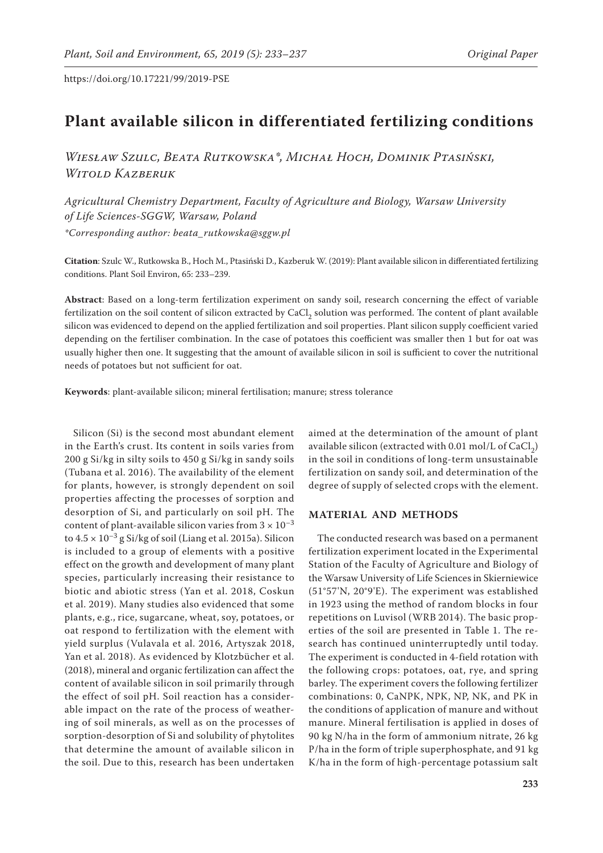# **Plant available silicon in differentiated fertilizing conditions**

*Wiesław Szulc, Beata Rutkowska\*, Michał Hoch, Dominik Ptasiński, Witold Kazberuk*

*Agricultural Chemistry Department, Faculty of Agriculture and Biology, Warsaw University of Life Sciences-SGGW, Warsaw, Poland \*Corresponding author: beata\_rutkowska@sggw.pl*

**Citation**: Szulc W., Rutkowska B., Hoch M., Ptasiński D., Kazberuk W. (2019): Plant available silicon in differentiated fertilizing conditions. Plant Soil Environ, 65: 233–239.

**Abstract**: Based on a long-term fertilization experiment on sandy soil, research concerning the effect of variable fertilization on the soil content of silicon extracted by CaCl<sub>2</sub> solution was performed. The content of plant available silicon was evidenced to depend on the applied fertilization and soil properties. Plant silicon supply coefficient varied depending on the fertiliser combination. In the case of potatoes this coefficient was smaller then 1 but for oat was usually higher then one. It suggesting that the amount of available silicon in soil is sufficient to cover the nutritional needs of potatoes but not sufficient for oat.

**Keywords**: plant-available silicon; mineral fertilisation; manure; stress tolerance

Silicon (Si) is the second most abundant element in the Earth's crust. Its content in soils varies from 200 g Si/kg in silty soils to 450 g Si/kg in sandy soils (Tubana et al. 2016). The availability of the element for plants, however, is strongly dependent on soil properties affecting the processes of sorption and desorption of Si, and particularly on soil pH. The content of plant-available silicon varies from  $3 \times 10^{-3}$ to  $4.5 \times 10^{-3}$  g Si/kg of soil (Liang et al. 2015a). Silicon is included to a group of elements with a positive effect on the growth and development of many plant species, particularly increasing their resistance to biotic and abiotic stress (Yan et al. 2018, Coskun et al. 2019). Many studies also evidenced that some plants, e.g., rice, sugarcane, wheat, soy, potatoes, or oat respond to fertilization with the element with yield surplus (Vulavala et al. 2016, Artyszak 2018, Yan et al. 2018). As evidenced by Klotzbücher et al. (2018), mineral and organic fertilization can affect the content of available silicon in soil primarily through the effect of soil pH. Soil reaction has a considerable impact on the rate of the process of weathering of soil minerals, as well as on the processes of sorption-desorption of Si and solubility of phytolites that determine the amount of available silicon in the soil. Due to this, research has been undertaken

aimed at the determination of the amount of plant available silicon (extracted with  $0.01$  mol/L of CaCl<sub>2</sub>) in the soil in conditions of long-term unsustainable fertilization on sandy soil, and determination of the degree of supply of selected crops with the element.

## **MATERIAL AND METHODS**

The conducted research was based on a permanent fertilization experiment located in the Experimental Station of the Faculty of Agriculture and Biology of the Warsaw University of Life Sciences in Skierniewice (51°57'N, 20°9'E). The experiment was established in 1923 using the method of random blocks in four repetitions on Luvisol (WRB 2014). The basic properties of the soil are presented in Table 1. The research has continued uninterruptedly until today. The experiment is conducted in 4-field rotation with the following crops: potatoes, oat, rye, and spring barley. The experiment covers the following fertilizer combinations: 0, CaNPK, NPK, NP, NK, and PK in the conditions of application of manure and without manure. Mineral fertilisation is applied in doses of 90 kg N/ha in the form of ammonium nitrate, 26 kg P/ha in the form of triple superphosphate, and 91 kg K/ha in the form of high-percentage potassium salt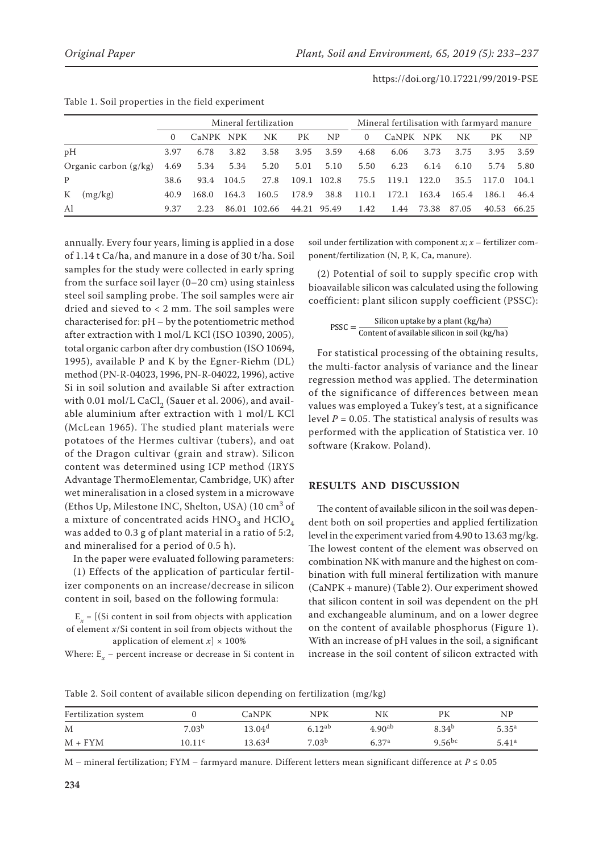|                         |         |          | Mineral fertilization |       |        |       |             |                | Mineral fertilisation with farmyard manure |       |       |       |                |  |
|-------------------------|---------|----------|-----------------------|-------|--------|-------|-------------|----------------|--------------------------------------------|-------|-------|-------|----------------|--|
|                         |         | $\Omega$ | CaNPK NPK             |       | NK     | PК    | NP          | $\overline{0}$ | CaNPK NPK                                  |       | NK    | PК    | N <sub>P</sub> |  |
| pH                      |         | 3.97     | 6.78                  | 3.82  | 3.58   | 3.95  | 3.59        | 4.68           | 6.06                                       | 3.73  | 3.75  | 3.95  | 3.59           |  |
| Organic carbon $(g/kg)$ |         | 4.69     | 5.34                  | 5.34  | 5.20   | 5.01  | 5.10        | 5.50           | 6.23                                       | 6.14  | 6.10  | 5.74  | 5.80           |  |
| P                       |         | 38.6     | 93.4                  | 104.5 | 27.8   |       | 109.1 102.8 | 75.5           | 119.1                                      | 122.0 | 35.5  | 117.0 | 104.1          |  |
| $\mathbf{K}$            | (mg/kg) | 40.9     | 168.0                 | 164.3 | 160.5  | 178.9 | 38.8        | 110.1          | 172.1                                      | 163.4 | 165.4 | 186.1 | 46.4           |  |
| Al                      |         | 9.37     | 2.23                  | 86.01 | 102.66 |       | 44.21 95.49 | 1.42           | 1.44                                       | 73.38 | 87.05 |       | 40.53 66.25    |  |

|  |  |  |  |  |  | Table 1. Soil properties in the field experiment |
|--|--|--|--|--|--|--------------------------------------------------|
|--|--|--|--|--|--|--------------------------------------------------|

annually. Every four years, liming is applied in a dose of 1.14 t Ca/ha, and manure in a dose of 30 t/ha. Soil samples for the study were collected in early spring from the surface soil layer (0–20 cm) using stainless steel soil sampling probe. The soil samples were air dried and sieved to < 2 mm. The soil samples were characterised for: pH – by the potentiometric method after extraction with 1 mol/L KCl (ISO 10390, 2005), total organic carbon after dry combustion (ISO 10694, 1995), available P and K by the Egner-Riehm (DL) method (PN-R-04023, 1996, PN-R-04022, 1996), active Si in soil solution and available Si after extraction with 0.01 mol/L CaCl<sub>2</sub> (Sauer et al. 2006), and available aluminium after extraction with 1 mol/L KCl (McLean 1965). The studied plant materials were potatoes of the Hermes cultivar (tubers), and oat of the Dragon cultivar (grain and straw). Silicon content was determined using ICP method (IRYS Advantage ThermoElementar, Cambridge, UK) after wet mineralisation in a closed system in a microwave (Ethos Up, Milestone INC, Shelton, USA) (10 cm<sup>3</sup> of a mixture of concentrated acids  $HNO<sub>3</sub>$  and  $HClO<sub>4</sub>$ was added to 0.3 g of plant material in a ratio of 5:2, and mineralised for a period of 0.5 h).

In the paper were evaluated following parameters:

(1) Effects of the application of particular fertilizer components on an increase/decrease in silicon content in soil, based on the following formula:

 $E_r = [(Si content in soil from objects with application$ of element *x*/Si content in soil from objects without the application of element  $x$   $\times$  100%

Where: E*<sup>x</sup>* – percent increase or decrease in Si content in

soil under fertilization with component *x*; *x* – fertilizer component/fertilization (N, P, K, Ca, manure).

(2) Potential of soil to supply specific crop with bioavailable silicon was calculated using the following coefficient: plant silicon supply coefficient (PSSC):

 $PSSC = \frac{\text{Silicon uptake by a plant (kg/ha)}}{\text{Content of available silicon in soil (kg/ha)}}$ 

For statistical processing of the obtaining results, the multi-factor analysis of variance and the linear regression method was applied. The determination of the significance of differences between mean values was employed a Tukey's test, at a significance level  $P = 0.05$ . The statistical analysis of results was performed with the application of Statistica ver. 10 software (Krakow. Poland).

### **RESULTS AND DISCUSSION**

The content of available silicon in the soil was dependent both on soil properties and applied fertilization level in the experiment varied from 4.90 to 13.63 mg/kg. The lowest content of the element was observed on combination NK with manure and the highest on combination with full mineral fertilization with manure (CaNPK + manure) (Table 2). Our experiment showed that silicon content in soil was dependent on the pH and exchangeable aluminum, and on a lower degree on the content of available phosphorus (Figure 1). With an increase of pH values in the soil, a significant increase in the soil content of silicon extracted with

Table 2. Soil content of available silicon depending on fertilization (mg/kg)

| Fertilization system |                   | CaNPK              | <b>NPK</b>        | NK                 | PК                | ΝP                |
|----------------------|-------------------|--------------------|-------------------|--------------------|-------------------|-------------------|
| M                    | 7.03 <sup>b</sup> | $13.04^{\rm d}$    | $6.12^{ab}$       | 4.90 <sup>ab</sup> | 8.34 <sup>b</sup> | $5.35^{a}$        |
| $M + FYM$            | 0.11 <sup>c</sup> | 13.63 <sup>d</sup> | 7.03 <sup>b</sup> | 6.37 <sup>a</sup>  | $9.56^{bc}$       | 5.41 <sup>a</sup> |

M – mineral fertilization; FYM – farmyard manure. Different letters mean significant difference at *P* ≤ 0.05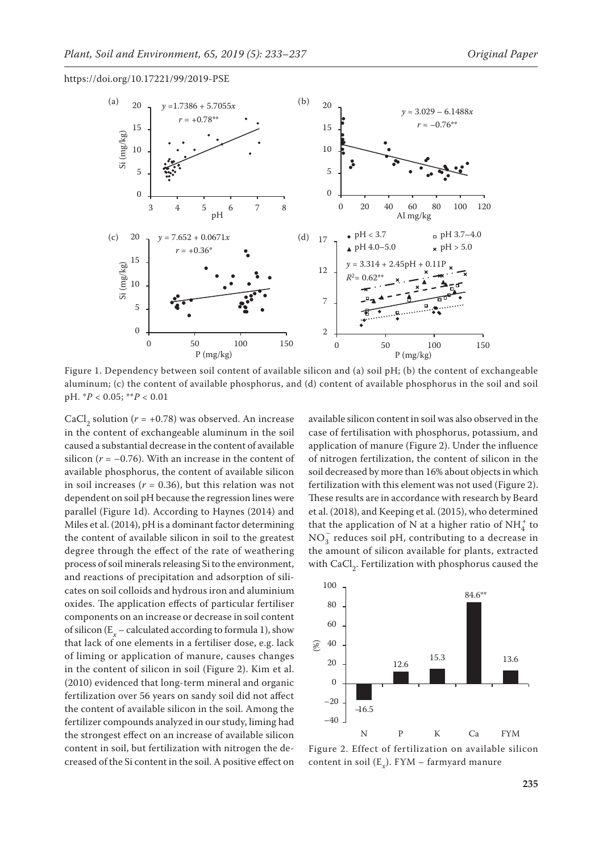

Figure 1. Dependency between soil content of available silicon and (a) soil pH; (b) the content of exchangeable aluminum; (c) the content of available phosphorus, and (d) content of available phosphorus in the soil and soil pH. \**P* < 0.05; \*\**P* < 0.01

CaCl<sub>2</sub> solution ( $r = +0.78$ ) was observed. An increase in the content of exchangeable aluminum in the soil caused a substantial decrease in the content of available silicon  $(r = -0.76)$ . With an increase in the content of available phosphorus, the content of available silicon in soil increases ( $r = 0.36$ ), but this relation was not dependent on soil pH because the regression lines were parallel (Figure 1d). According to Haynes (2014) and Miles et al. (2014), pH is a dominant factor determining the content of available silicon in soil to the greatest degree through the effect of the rate of weathering process of soil minerals releasing Si to the environment, and reactions of precipitation and adsorption of silicates on soil colloids and hydrous iron and aluminium oxides. The application effects of particular fertiliser components on an increase or decrease in soil content of silicon  $(E_x - \text{calculated according to formula 1}),$  show that lack of one elements in a fertiliser dose, e.g. lack of liming or application of manure, causes changes in the content of silicon in soil (Figure 2). Kim et al. (2010) evidenced that long-term mineral and organic fertilization over 56 years on sandy soil did not affect the content of available silicon in the soil. Among the fertilizer compounds analyzed in our study, liming had the strongest effect on an increase of available silicon content in soil, but fertilization with nitrogen the decreased of the Si content in the soil. A positive effect on

available silicon content in soil was also observed in the case of fertilisation with phosphorus, potassium, and application of manure (Figure 2). Under the influence of nitrogen fertilization, the content of silicon in the soil decreased by more than 16% about objects in which fertilization with this element was not used (Figure 2). These results are in accordance with research by Beard et al. (2018), and Keeping et al. (2015), who determined that the application of N at a higher ratio of  $\mathrm{NH}_4^+$  to  $\mathrm{NO}_3^-$  reduces soil pH, contributing to a decrease in the amount of silicon available for plants, extracted with CaCl<sub>2</sub>. Fertilization with phosphorus caused the



Figure 2. Effect of fertilization on available silicon content in soil (E*x*). FYM – farmyard manure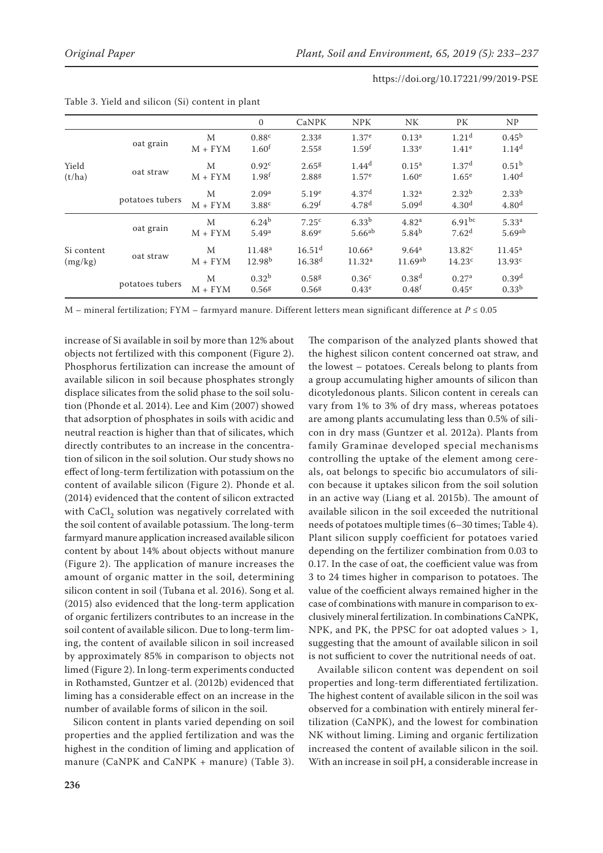|            |                 |              | $\mathbf{0}$       | CaNPK                | <b>NPK</b>         | NK                | PК                  | NP                 |
|------------|-----------------|--------------|--------------------|----------------------|--------------------|-------------------|---------------------|--------------------|
|            |                 | M            | 0.88 <sup>c</sup>  | 2.33 <sup>g</sup>    | 1.37 <sup>e</sup>  | 0.13 <sup>a</sup> | 1.21 <sup>d</sup>   | $0.45^{b}$         |
|            | oat grain       | $M + FYM$    | 1.60 <sup>f</sup>  | 2.55 <sup>g</sup>    | 1.59 <sup>f</sup>  | 1.33 <sup>e</sup> | 1.41 <sup>e</sup>   | 1.14 <sup>d</sup>  |
| Yield      |                 | M            | 0.92 <sup>c</sup>  | 2.65 <sup>g</sup>    | 1.44 <sup>d</sup>  | $0.15^{\rm a}$    | 1.37 <sup>d</sup>   | 0.51 <sup>b</sup>  |
| (t/ha)     | oat straw       | $M + FYM$    | 1.98 <sup>f</sup>  | 2.88g                | 1.57 <sup>e</sup>  | 1.60 <sup>e</sup> | 1.65 <sup>e</sup>   | 1.40 <sup>d</sup>  |
|            | potatoes tubers | M            | 2.09 <sup>a</sup>  | 5.19e                | 4.37 <sup>d</sup>  | 1.32 <sup>a</sup> | $2.32^{b}$          | $2.33^{b}$         |
|            |                 | $M + FYM$    | 3.88c              | 6.29 <sup>f</sup>    | 4.78 <sup>d</sup>  | 5.09 <sup>d</sup> | 4.30 <sup>d</sup>   | 4.80 <sup>d</sup>  |
|            |                 | M            | $6.24^{b}$         | 7.25 <sup>c</sup>    | 6.33 <sup>b</sup>  | 4.82 <sup>a</sup> | $6.91^{bc}$         | 5.33 <sup>a</sup>  |
|            | oat grain       | $M + FYM$    | 5.49 <sup>a</sup>  | 8.69 <sup>e</sup>    | $5.66^{ab}$        | $5.84^{b}$        | 7.62 <sup>d</sup>   | 5.69 <sup>ab</sup> |
| Si content |                 | М            | 11.48 <sup>a</sup> | $16.51$ <sup>d</sup> | 10.66 <sup>a</sup> | 9.64 <sup>a</sup> | 13.82 <sup>c</sup>  | $11.45^{\rm a}$    |
| (mg/kg)    | oat straw       | $M + FYM$    | 12.98 <sup>b</sup> | 16.38 <sup>d</sup>   | 11.32 <sup>a</sup> | $11.69^{ab}$      | 14.23 <sup>c</sup>  | 13.93c             |
|            |                 | М            | 0.32 <sup>b</sup>  | 0.58 <sup>g</sup>    | 0.36 <sup>c</sup>  | 0.38 <sup>d</sup> | 0.27 <sup>a</sup>   | 0.39 <sup>d</sup>  |
|            | potatoes tubers | $+$ FYM<br>M | 0.56 <sup>g</sup>  | 0.56 <sup>g</sup>    | 0.43 <sup>e</sup>  | 0.48 <sup>f</sup> | $0.45^{\mathrm{e}}$ | $0.33^{b}$         |

M – mineral fertilization; FYM – farmyard manure. Different letters mean significant difference at *P* ≤ 0.05

increase of Si available in soil by more than 12% about objects not fertilized with this component (Figure 2). Phosphorus fertilization can increase the amount of available silicon in soil because phosphates strongly displace silicates from the solid phase to the soil solution (Phonde et al. 2014). Lee and Kim (2007) showed that adsorption of phosphates in soils with acidic and neutral reaction is higher than that of silicates, which directly contributes to an increase in the concentration of silicon in the soil solution. Our study shows no effect of long-term fertilization with potassium on the content of available silicon (Figure 2). Phonde et al. (2014) evidenced that the content of silicon extracted with CaCl<sub>2</sub> solution was negatively correlated with the soil content of available potassium. The long-term farmyard manure application increased available silicon content by about 14% about objects without manure (Figure 2). The application of manure increases the amount of organic matter in the soil, determining silicon content in soil (Tubana et al. 2016). Song et al. (2015) also evidenced that the long-term application of organic fertilizers contributes to an increase in the soil content of available silicon. Due to long-term liming, the content of available silicon in soil increased by approximately 85% in comparison to objects not limed (Figure 2). In long-term experiments conducted in Rothamsted, Guntzer et al. (2012b) evidenced that liming has a considerable effect on an increase in the number of available forms of silicon in the soil.

Silicon content in plants varied depending on soil properties and the applied fertilization and was the highest in the condition of liming and application of manure (CaNPK and CaNPK + manure) (Table 3).

The comparison of the analyzed plants showed that the highest silicon content concerned oat straw, and the lowest – potatoes. Cereals belong to plants from a group accumulating higher amounts of silicon than dicotyledonous plants. Silicon content in cereals can vary from 1% to 3% of dry mass, whereas potatoes are among plants accumulating less than 0.5% of silicon in dry mass (Guntzer et al. 2012a). Plants from family Graminae developed special mechanisms controlling the uptake of the element among cereals, oat belongs to specific bio accumulators of silicon because it uptakes silicon from the soil solution in an active way (Liang et al. 2015b). The amount of available silicon in the soil exceeded the nutritional needs of potatoes multiple times (6–30 times; Table 4). Plant silicon supply coefficient for potatoes varied depending on the fertilizer combination from 0.03 to 0.17. In the case of oat, the coefficient value was from 3 to 24 times higher in comparison to potatoes. The value of the coefficient always remained higher in the case of combinations with manure in comparison to exclusively mineral fertilization. In combinations CaNPK, NPK, and PK, the PPSC for oat adopted values > 1, suggesting that the amount of available silicon in soil is not sufficient to cover the nutritional needs of oat.

Available silicon content was dependent on soil properties and long-term differentiated fertilization. The highest content of available silicon in the soil was observed for a combination with entirely mineral fertilization (CaNPK), and the lowest for combination NK without liming. Liming and organic fertilization increased the content of available silicon in the soil. With an increase in soil pH, a considerable increase in